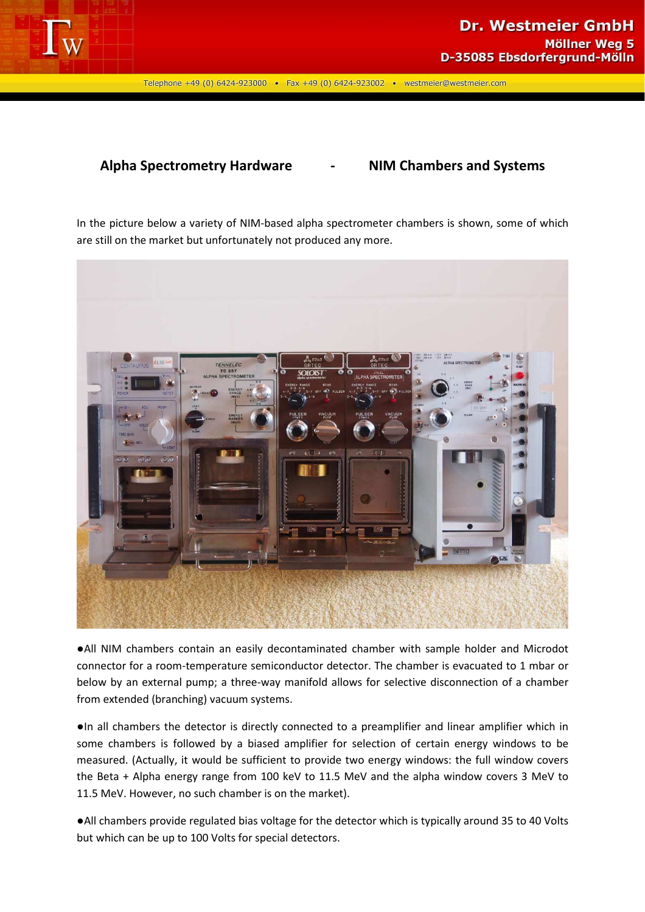

Telephone +49 (0) 6424-923000 • Fax +49 (0) 6424-923002 • westmeier@westmeier.com

## **Alpha Spectrometry Hardware - NIM Chambers and Systems**

In the picture below a variety of NIM-based alpha spectrometer chambers is shown, some of which are still on the market but unfortunately not produced any more.



●All NIM chambers contain an easily decontaminated chamber with sample holder and Microdot connector for a room-temperature semiconductor detector. The chamber is evacuated to 1 mbar or below by an external pump; a three-way manifold allows for selective disconnection of a chamber from extended (branching) vacuum systems.

●In all chambers the detector is directly connected to a preamplifier and linear amplifier which in some chambers is followed by a biased amplifier for selection of certain energy windows to be measured. (Actually, it would be sufficient to provide two energy windows: the full window covers the Beta + Alpha energy range from 100 keV to 11.5 MeV and the alpha window covers 3 MeV to 11.5 MeV. However, no such chamber is on the market).

●All chambers provide regulated bias voltage for the detector which is typically around 35 to 40 Volts but which can be up to 100 Volts for special detectors.